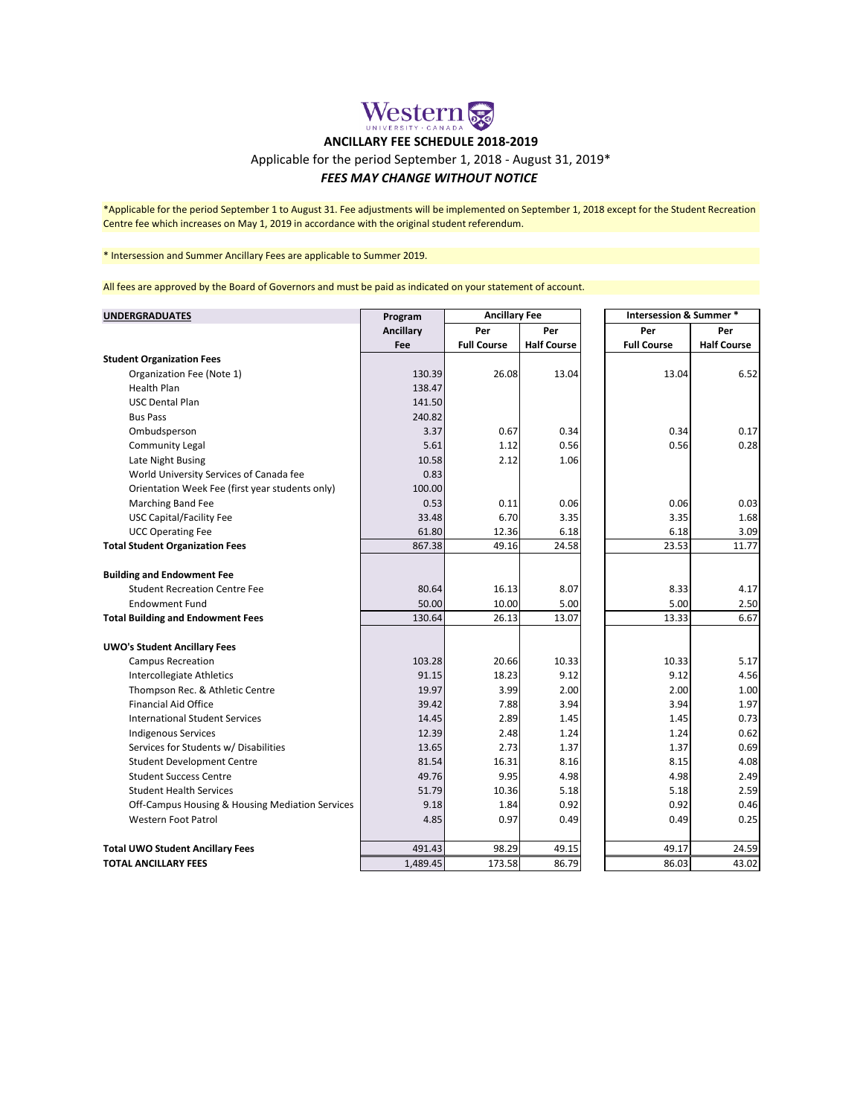## Western & **ANCILLARY FEE SCHEDULE 2018-2019**

## Applicable for the period September 1, 2018 - August 31, 2019\*

## *FEES MAY CHANGE WITHOUT NOTICE*

\*Applicable for the period September 1 to August 31. Fee adjustments will be implemented on September 1, 2018 except for the Student Recreation Centre fee which increases on May 1, 2019 in accordance with the original student referendum.

\* Intersession and Summer Ancillary Fees are applicable to Summer 2019.

All fees are approved by the Board of Governors and must be paid as indicated on your statement of account.

| <b>UNDERGRADUATES</b>                           | Program   | <b>Ancillary Fee</b> |                    |                    | Intersession & Summer * |  |
|-------------------------------------------------|-----------|----------------------|--------------------|--------------------|-------------------------|--|
|                                                 | Ancillary | Per                  | Per                | Per                | Per                     |  |
|                                                 | Fee       | <b>Full Course</b>   | <b>Half Course</b> | <b>Full Course</b> | <b>Half Course</b>      |  |
| <b>Student Organization Fees</b>                |           |                      |                    |                    |                         |  |
| Organization Fee (Note 1)                       | 130.39    | 26.08                | 13.04              | 13.04              | 6.52                    |  |
| <b>Health Plan</b>                              | 138.47    |                      |                    |                    |                         |  |
| <b>USC Dental Plan</b>                          | 141.50    |                      |                    |                    |                         |  |
| <b>Bus Pass</b>                                 | 240.82    |                      |                    |                    |                         |  |
| Ombudsperson                                    | 3.37      | 0.67                 | 0.34               | 0.34               | 0.17                    |  |
| <b>Community Legal</b>                          | 5.61      | 1.12                 | 0.56               | 0.56               | 0.28                    |  |
| Late Night Busing                               | 10.58     | 2.12                 | 1.06               |                    |                         |  |
| World University Services of Canada fee         | 0.83      |                      |                    |                    |                         |  |
| Orientation Week Fee (first year students only) | 100.00    |                      |                    |                    |                         |  |
| Marching Band Fee                               | 0.53      | 0.11                 | 0.06               | 0.06               | 0.03                    |  |
| <b>USC Capital/Facility Fee</b>                 | 33.48     | 6.70                 | 3.35               | 3.35               | 1.68                    |  |
| <b>UCC Operating Fee</b>                        | 61.80     | 12.36                | 6.18               | 6.18               | 3.09                    |  |
| <b>Total Student Organization Fees</b>          | 867.38    | 49.16                | 24.58              | 23.53              | 11.77                   |  |
|                                                 |           |                      |                    |                    |                         |  |
| <b>Building and Endowment Fee</b>               |           |                      |                    |                    |                         |  |
| <b>Student Recreation Centre Fee</b>            | 80.64     | 16.13                | 8.07               | 8.33               | 4.17                    |  |
| <b>Endowment Fund</b>                           | 50.00     | 10.00                | 5.00               | 5.00               | 2.50                    |  |
| <b>Total Building and Endowment Fees</b>        | 130.64    | 26.13                | 13.07              | 13.33              | 6.67                    |  |
|                                                 |           |                      |                    |                    |                         |  |
| <b>UWO's Student Ancillary Fees</b>             |           |                      |                    |                    |                         |  |
| <b>Campus Recreation</b>                        | 103.28    | 20.66                | 10.33              | 10.33              | 5.17                    |  |
| Intercollegiate Athletics                       | 91.15     | 18.23                | 9.12               | 9.12               | 4.56                    |  |
| Thompson Rec. & Athletic Centre                 | 19.97     | 3.99                 | 2.00               | 2.00               | 1.00                    |  |
| <b>Financial Aid Office</b>                     | 39.42     | 7.88                 | 3.94               | 3.94               | 1.97                    |  |
| <b>International Student Services</b>           | 14.45     | 2.89                 | 1.45               | 1.45               | 0.73                    |  |
| <b>Indigenous Services</b>                      | 12.39     | 2.48                 | 1.24               | 1.24               | 0.62                    |  |
| Services for Students w/ Disabilities           | 13.65     | 2.73                 | 1.37               | 1.37               | 0.69                    |  |
| <b>Student Development Centre</b>               | 81.54     | 16.31                | 8.16               | 8.15               | 4.08                    |  |
| <b>Student Success Centre</b>                   | 49.76     | 9.95                 | 4.98               | 4.98               | 2.49                    |  |
| <b>Student Health Services</b>                  | 51.79     | 10.36                | 5.18               | 5.18               | 2.59                    |  |
| Off-Campus Housing & Housing Mediation Services | 9.18      | 1.84                 | 0.92               | 0.92               | 0.46                    |  |
| <b>Western Foot Patrol</b>                      | 4.85      | 0.97                 | 0.49               | 0.49               | 0.25                    |  |
|                                                 |           |                      |                    |                    |                         |  |
| <b>Total UWO Student Ancillary Fees</b>         | 491.43    | 98.29                | 49.15              | 49.17              | 24.59                   |  |
| <b>TOTAL ANCILLARY FEES</b>                     | 1,489.45  | 173.58               | 86.79              | 86.03              | 43.02                   |  |